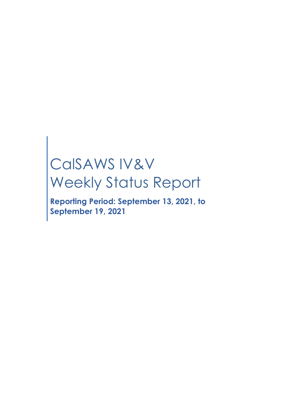# CalSAWS IV&V Weekly Status Report

**Reporting Period: September 13, 2021, to September 19, 2021**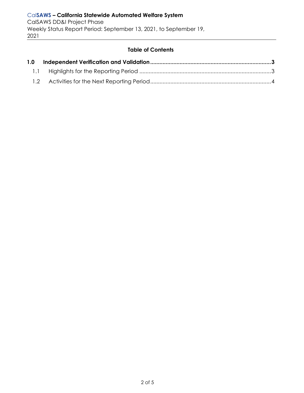#### **Table of Contents**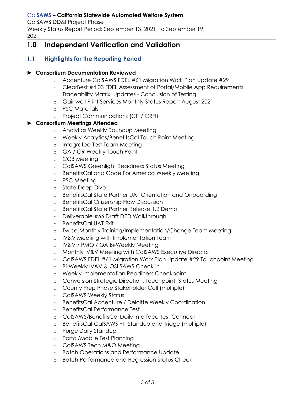#### Cal**SAWS – California Statewide Automated Welfare System**

CalSAWS DD&I Project Phase Weekly Status Report Period: September 13, 2021, to September 19, 2021

# <span id="page-2-0"></span>**1.0 Independent Verification and Validation**

## <span id="page-2-1"></span>**1.1 Highlights for the Reporting Period**

#### ► **Consortium Documentation Reviewed**

- o Accenture CalSAWS FDEL #61 Migration Work Plan Update #29
- o ClearBest #4.03 FDEL Assessment of Portal/Mobile App Requirements Traceability Matrix: Updates - Conclusion of Testing
- o Gainwell Print Services Monthly Status Report August 2021
- o PSC Materials
- o Project Communications (CIT / CRFI)

#### ► **Consortium Meetings Attended**

- o Analytics Weekly Roundup Meeting
- o Weekly Analytics/BenefitsCal Touch Point Meeting
- o Integrated Test Team Meeting
- o GA / GR Weekly Touch Point
- o CCB Meeting
- o CalSAWS Greenlight Readiness Status Meeting
- o BenefitsCal and Code For America Weekly Meeting
- o PSC Meeting
- o State Deep Dive
- o BenefitsCal State Partner UAT Orientation and Onboarding
- o BenefitsCal Citizenship Flow Discussion
- o BenefitsCal State Partner Release 1.2 Demo
- o Deliverable #66 Draft DED Walkthrough
- o BenefitsCal UAT Exit
- o Twice-Monthly Training/Implementation/Change Team Meeting
- o IV&V Meeting with Implementation Team
- o IV&V / PMO / QA Bi-Weekly Meeting
- o Monthly IV&V Meeting with CalSAWS Executive Director
- o CalSAWS FDEL #61 Migration Work Plan Update #29 Touchpoint Meeting
- o Bi-Weekly IV&V & OSI SAWS Check-in
- o Weekly Implementation Readiness Checkpoint
- o Conversion Strategic Direction, Touchpoint, Status Meeting
- o County Prep Phase Stakeholder Call (multiple)
- o CalSAWS Weekly Status
- o BenefitsCal Accenture / Deloitte Weekly Coordination
- o BenefitsCal Performance Test
- o CalSAWS/BenefitsCal Daily Interface Test Connect
- o BenefitsCal-CalSAWS PIT Standup and Triage (multiple)
- o Purge Daily Standup
- o Portal/Mobile Test Planning
- o CalSAWS Tech M&O Meeting
- o Batch Operations and Performance Update
- o Batch Performance and Regression Status Check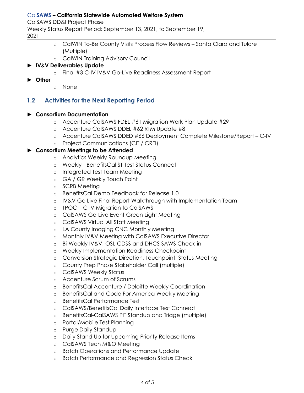#### Cal**SAWS – California Statewide Automated Welfare System**

CalSAWS DD&I Project Phase

Weekly Status Report Period: September 13, 2021, to September 19,

2021

- o CalWIN To-Be County Visits Process Flow Reviews Santa Clara and Tulare (Multiple)
- o CalWIN Training Advisory Council

#### ► **IV&V Deliverables Update**

- o Final #3 C-IV IV&V Go-Live Readiness Assessment Report
- ► **Other**
- o None

#### <span id="page-3-0"></span>**1.2 Activities for the Next Reporting Period**

#### ► **Consortium Documentation**

- o Accenture CalSAWS FDEL #61 Migration Work Plan Update #29
- o Accenture CalSAWS DDEL #62 RTM Update #8
- o Accenture CalSAWS DDED #66 Deployment Complete Milestone/Report C-IV
- o Project Communications (CIT / CRFI)

#### ► **Consortium Meetings to be Attended**

- o Analytics Weekly Roundup Meeting
- o Weekly BenefitsCal ST Test Status Connect
- o Integrated Test Team Meeting
- o GA / GR Weekly Touch Point
- o SCRB Meeting
- o BenefitsCal Demo Feedback for Release 1.0
- o IV&V Go Live Final Report Walkthrough with Implementation Team
- o TPOC C-IV Migration to CalSAWS
- o CalSAWS Go-Live Event Green Light Meeting
- o CalSAWS Virtual All Staff Meeting
- o LA County Imaging CNC Monthly Meeting
- o Monthly IV&V Meeting with CalSAWS Executive Director
- o Bi-Weekly IV&V, OSI, CDSS and DHCS SAWS Check-in
- o Weekly Implementation Readiness Checkpoint
- o Conversion Strategic Direction, Touchpoint, Status Meeting
- o County Prep Phase Stakeholder Call (multiple)
- o CalSAWS Weekly Status
- o Accenture Scrum of Scrums
- o BenefitsCal Accenture / Deloitte Weekly Coordination
- o BenefitsCal and Code For America Weekly Meeting
- o BenefitsCal Performance Test
- o CalSAWS/BenefitsCal Daily Interface Test Connect
- o BenefitsCal-CalSAWS PIT Standup and Triage (multiple)
- o Portal/Mobile Test Planning
- o Purge Daily Standup
- o Daily Stand Up for Upcoming Priority Release Items
- o CalSAWS Tech M&O Meeting
- o Batch Operations and Performance Update
- o Batch Performance and Regression Status Check